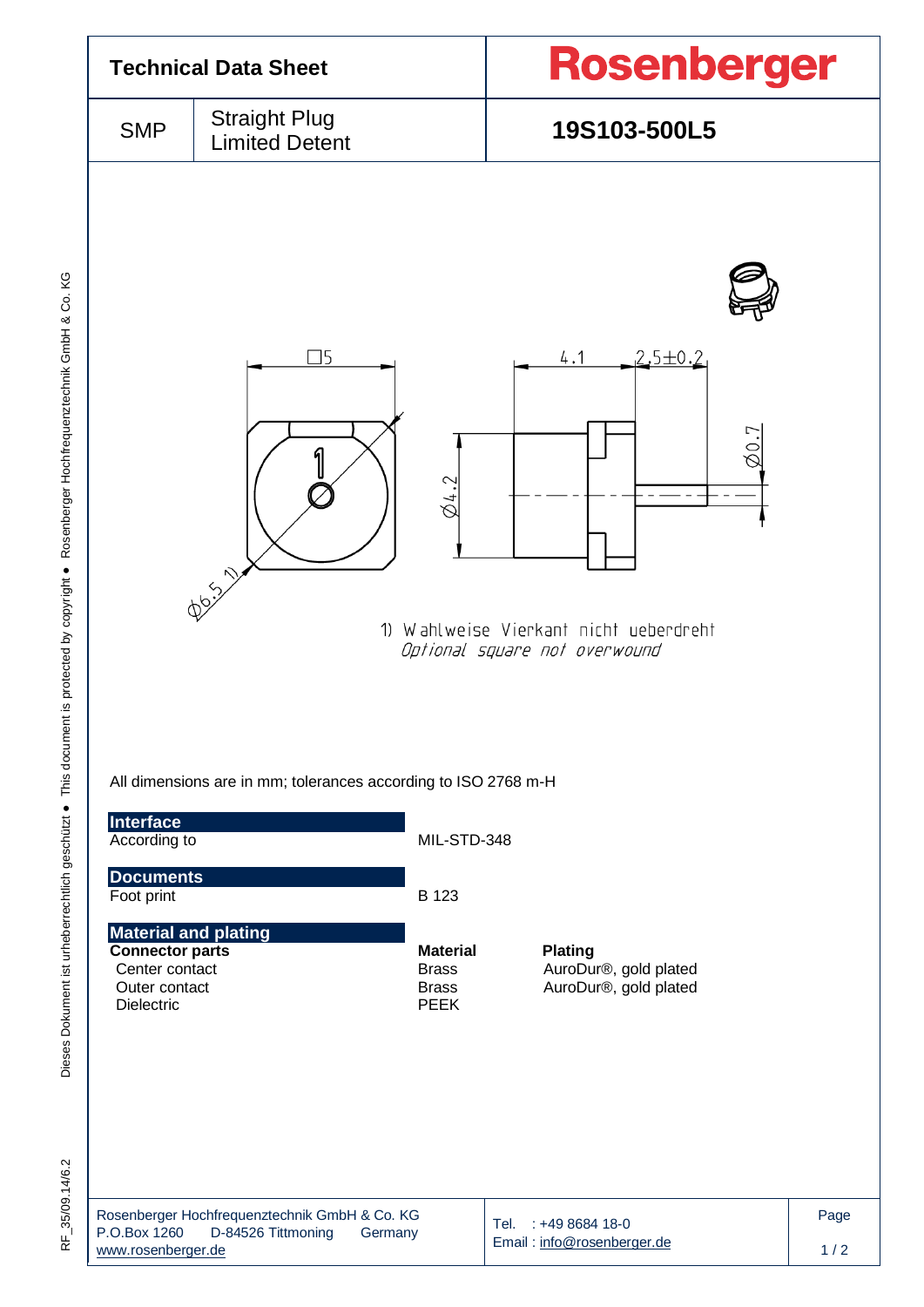